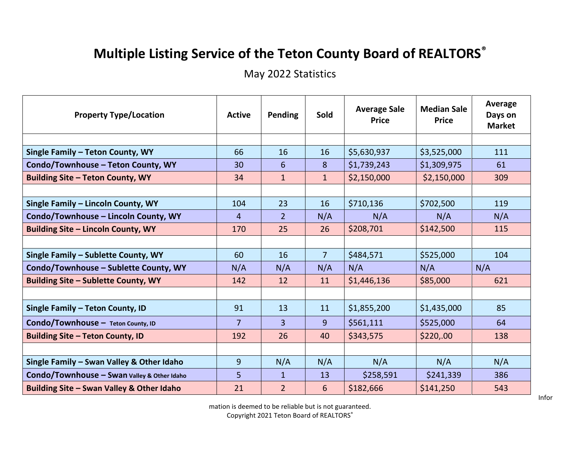## **Multiple Listing Service of the Teton County Board of REALTORS®**

May 2022 Statistics

| <b>Property Type/Location</b>               | <b>Active</b>  | <b>Pending</b> | Sold           | <b>Average Sale</b><br><b>Price</b> | <b>Median Sale</b><br><b>Price</b> | Average<br>Days on<br><b>Market</b> |
|---------------------------------------------|----------------|----------------|----------------|-------------------------------------|------------------------------------|-------------------------------------|
|                                             |                |                |                |                                     |                                    |                                     |
| Single Family - Teton County, WY            | 66             | 16             | 16             | \$5,630,937                         | \$3,525,000                        | 111                                 |
| Condo/Townhouse - Teton County, WY          | 30             | 6              | 8              | \$1,739,243                         | \$1,309,975                        | 61                                  |
| <b>Building Site - Teton County, WY</b>     | 34             | $\mathbf{1}$   | $\mathbf{1}$   | \$2,150,000                         | \$2,150,000                        | 309                                 |
|                                             |                |                |                |                                     |                                    |                                     |
| Single Family - Lincoln County, WY          | 104            | 23             | 16             | \$710,136                           | \$702,500                          | 119                                 |
| Condo/Townhouse - Lincoln County, WY        | $\overline{4}$ | $\overline{2}$ | N/A            | N/A                                 | N/A                                | N/A                                 |
| <b>Building Site - Lincoln County, WY</b>   | 170            | 25             | 26             | \$208,701                           | \$142,500                          | 115                                 |
|                                             |                |                |                |                                     |                                    |                                     |
| Single Family - Sublette County, WY         | 60             | 16             | $\overline{7}$ | \$484,571                           | \$525,000                          | 104                                 |
| Condo/Townhouse - Sublette County, WY       | N/A            | N/A            | N/A            | N/A                                 | N/A                                | N/A                                 |
| Building Site - Sublette County, WY         | 142            | 12             | 11             | \$1,446,136                         | \$85,000                           | 621                                 |
|                                             |                |                |                |                                     |                                    |                                     |
| Single Family - Teton County, ID            | 91             | 13             | 11             | \$1,855,200                         | \$1,435,000                        | 85                                  |
| Condo/Townhouse - Teton County, ID          | $\overline{7}$ | $\overline{3}$ | 9              | \$561,111                           | \$525,000                          | 64                                  |
| <b>Building Site - Teton County, ID</b>     | 192            | 26             | 40             | \$343,575                           | \$220,00                           | 138                                 |
|                                             |                |                |                |                                     |                                    |                                     |
| Single Family - Swan Valley & Other Idaho   | 9              | N/A            | N/A            | N/A                                 | N/A                                | N/A                                 |
| Condo/Townhouse - Swan Valley & Other Idaho | 5              | $\mathbf{1}$   | 13             | \$258,591                           | \$241,339                          | 386                                 |
| Building Site - Swan Valley & Other Idaho   | 21             | $\overline{2}$ | 6              | \$182,666                           | \$141,250                          | 543                                 |

mation is deemed to be reliable but is not guaranteed. Copyright 2021 Teton Board of REALTORS®